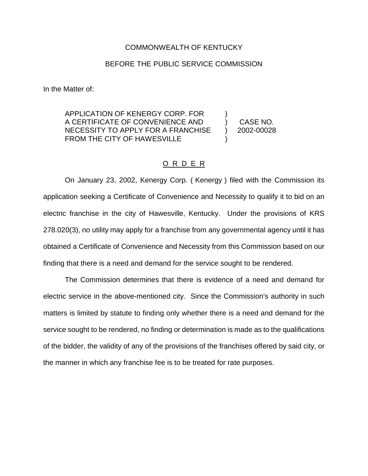## COMMONWEALTH OF KENTUCKY

## BEFORE THE PUBLIC SERVICE COMMISSION

In the Matter of:

APPLICATION OF KENERGY CORP. FOR ) A CERTIFICATE OF CONVENIENCE AND (ASE NO. NECESSITY TO APPLY FOR A FRANCHISE ) 2002-00028 FROM THE CITY OF HAWESVILLE

## O R D E R

On January 23, 2002, Kenergy Corp. ( Kenergy ) filed with the Commission its application seeking a Certificate of Convenience and Necessity to qualify it to bid on an electric franchise in the city of Hawesville, Kentucky. Under the provisions of KRS 278.020(3), no utility may apply for a franchise from any governmental agency until it has obtained a Certificate of Convenience and Necessity from this Commission based on our finding that there is a need and demand for the service sought to be rendered.

The Commission determines that there is evidence of a need and demand for electric service in the above-mentioned city. Since the Commission's authority in such matters is limited by statute to finding only whether there is a need and demand for the service sought to be rendered, no finding or determination is made as to the qualifications of the bidder, the validity of any of the provisions of the franchises offered by said city, or the manner in which any franchise fee is to be treated for rate purposes.